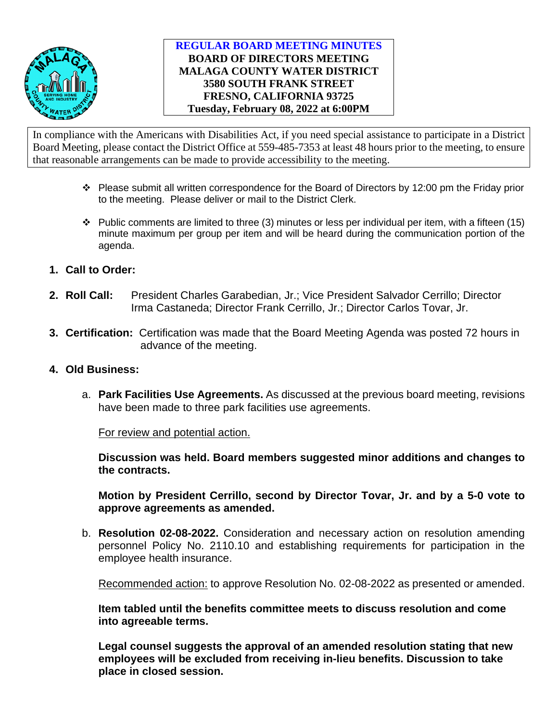

#### **REGULAR BOARD MEETING MINUTES BOARD OF DIRECTORS MEETING MALAGA COUNTY WATER DISTRICT 3580 SOUTH FRANK STREET FRESNO, CALIFORNIA 93725 Tuesday, February 08, 2022 at 6:00PM**

In compliance with the Americans with Disabilities Act, if you need special assistance to participate in a District Board Meeting, please contact the District Office at 559-485-7353 at least 48 hours prior to the meeting, to ensure that reasonable arrangements can be made to provide accessibility to the meeting.

- $\cdot \cdot$  Please submit all written correspondence for the Board of Directors by 12:00 pm the Friday prior to the meeting. Please deliver or mail to the District Clerk.
- $\cdot \cdot$  Public comments are limited to three (3) minutes or less per individual per item, with a fifteen (15) minute maximum per group per item and will be heard during the communication portion of the agenda.
- **1. Call to Order:**
- **2. Roll Call:** President Charles Garabedian, Jr.; Vice President Salvador Cerrillo; Director Irma Castaneda; Director Frank Cerrillo, Jr.; Director Carlos Tovar, Jr.
- **3. Certification:** Certification was made that the Board Meeting Agenda was posted 72 hours in advance of the meeting.
- **4. Old Business:**
	- a. **Park Facilities Use Agreements.** As discussed at the previous board meeting, revisions have been made to three park facilities use agreements.

For review and potential action.

**Discussion was held. Board members suggested minor additions and changes to the contracts.** 

**Motion by President Cerrillo, second by Director Tovar, Jr. and by a 5-0 vote to approve agreements as amended.** 

b. **Resolution 02-08-2022.** Consideration and necessary action on resolution amending personnel Policy No. 2110.10 and establishing requirements for participation in the employee health insurance.

Recommended action: to approve Resolution No. 02-08-2022 as presented or amended.

**Item tabled until the benefits committee meets to discuss resolution and come into agreeable terms.**

**Legal counsel suggests the approval of an amended resolution stating that new employees will be excluded from receiving in-lieu benefits. Discussion to take place in closed session.**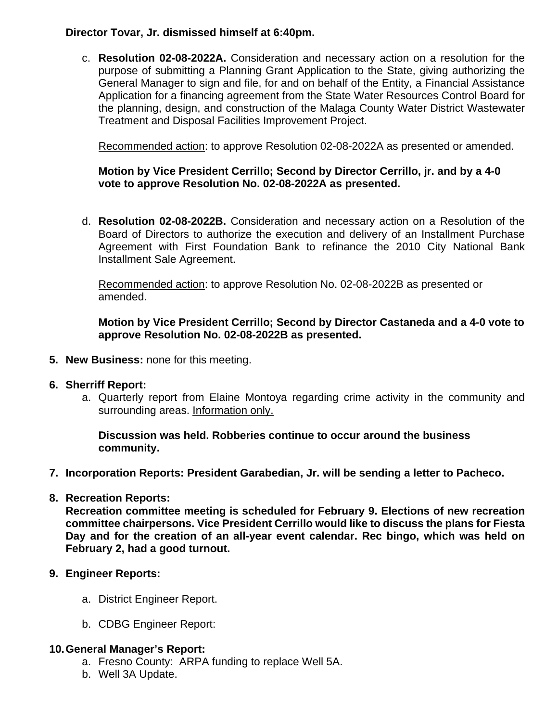## **Director Tovar, Jr. dismissed himself at 6:40pm.**

c. **Resolution 02-08-2022A.** Consideration and necessary action on a resolution for the purpose of submitting a Planning Grant Application to the State, giving authorizing the General Manager to sign and file, for and on behalf of the Entity, a Financial Assistance Application for a financing agreement from the State Water Resources Control Board for the planning, design, and construction of the Malaga County Water District Wastewater Treatment and Disposal Facilities Improvement Project.

Recommended action: to approve Resolution 02-08-2022A as presented or amended.

## **Motion by Vice President Cerrillo; Second by Director Cerrillo, jr. and by a 4-0 vote to approve Resolution No. 02-08-2022A as presented.**

d. **Resolution 02-08-2022B.** Consideration and necessary action on a Resolution of the Board of Directors to authorize the execution and delivery of an Installment Purchase Agreement with First Foundation Bank to refinance the 2010 City National Bank Installment Sale Agreement.

Recommended action: to approve Resolution No. 02-08-2022B as presented or amended.

**Motion by Vice President Cerrillo; Second by Director Castaneda and a 4-0 vote to approve Resolution No. 02-08-2022B as presented.** 

- **5. New Business:** none for this meeting.
- **6. Sherriff Report:**
	- a. Quarterly report from Elaine Montoya regarding crime activity in the community and surrounding areas. Information only.

**Discussion was held. Robberies continue to occur around the business community.**

- **7. Incorporation Reports: President Garabedian, Jr. will be sending a letter to Pacheco.**
- **8. Recreation Reports:**

**Recreation committee meeting is scheduled for February 9. Elections of new recreation committee chairpersons. Vice President Cerrillo would like to discuss the plans for Fiesta Day and for the creation of an all-year event calendar. Rec bingo, which was held on February 2, had a good turnout.** 

- **9. Engineer Reports:**
	- a. District Engineer Report.
	- b. CDBG Engineer Report:

#### **10.General Manager's Report:**

- a. Fresno County: ARPA funding to replace Well 5A.
- b. Well 3A Update.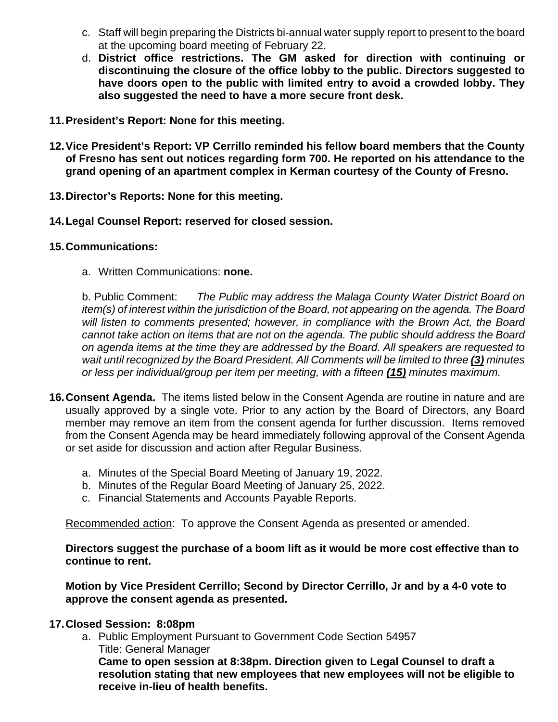- c. Staff will begin preparing the Districts bi-annual water supply report to present to the board at the upcoming board meeting of February 22.
- d. **District office restrictions. The GM asked for direction with continuing or discontinuing the closure of the office lobby to the public. Directors suggested to have doors open to the public with limited entry to avoid a crowded lobby. They also suggested the need to have a more secure front desk.**
- **11.President's Report: None for this meeting.**
- **12.Vice President's Report: VP Cerrillo reminded his fellow board members that the County of Fresno has sent out notices regarding form 700. He reported on his attendance to the grand opening of an apartment complex in Kerman courtesy of the County of Fresno.**
- **13.Director's Reports: None for this meeting.**
- **14.Legal Counsel Report: reserved for closed session.**

## **15.Communications:**

a. Written Communications: **none.**

b. Public Comment: *The Public may address the Malaga County Water District Board on item(s) of interest within the jurisdiction of the Board, not appearing on the agenda. The Board will listen to comments presented; however, in compliance with the Brown Act, the Board cannot take action on items that are not on the agenda. The public should address the Board on agenda items at the time they are addressed by the Board. All speakers are requested to wait until recognized by the Board President. All Comments will be limited to three (3) minutes or less per individual/group per item per meeting, with a fifteen (15) minutes maximum.*

- **16.Consent Agenda.** The items listed below in the Consent Agenda are routine in nature and are usually approved by a single vote. Prior to any action by the Board of Directors, any Board member may remove an item from the consent agenda for further discussion. Items removed from the Consent Agenda may be heard immediately following approval of the Consent Agenda or set aside for discussion and action after Regular Business.
	- a. Minutes of the Special Board Meeting of January 19, 2022.
	- b. Minutes of the Regular Board Meeting of January 25, 2022.
	- c. Financial Statements and Accounts Payable Reports.

Recommended action: To approve the Consent Agenda as presented or amended.

**Directors suggest the purchase of a boom lift as it would be more cost effective than to continue to rent.** 

**Motion by Vice President Cerrillo; Second by Director Cerrillo, Jr and by a 4-0 vote to approve the consent agenda as presented.** 

# **17.Closed Session: 8:08pm**

a. Public Employment Pursuant to Government Code Section 54957 Title: General Manager

**Came to open session at 8:38pm. Direction given to Legal Counsel to draft a resolution stating that new employees that new employees will not be eligible to receive in-lieu of health benefits.**